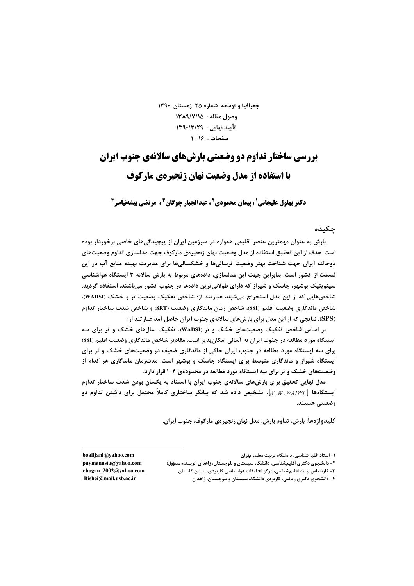جغرافیا و توسعه شماره ۲۵ زمستان ۱۳۹۰ وصول مقاله : ١٣٨٩/٧/١٥ تأیید نهایی : ۱۳۹۰/۳/۲۹ صفحات: ١۶-١

# بررسی ساختار تداوم دو وضعیتی بارش های سالانهی جنوب ایران **با استفاده از مدل وضعیت نهان زنجیرهی مارکوف**

**دکتر بهلول علیجانی' ، پیمان محمودی<sup>2</sup> ، عبدالجیار چوگان<sup>3</sup> ، مرتضی بیشهنیاسر<sup>6</sup>** 

## حكىدە

بارش به عنوان مهمترین عنصر اقلیمی همواره در سرزمین ایران از پیچیدگیهای خاصی برخوردار بوده است. هدف از این تحقیق استفاده از مدل وضعیت نهان زنجیرهی مارکوف جهت مدلسازی تداوم وضعیتهای دوحالته ایران جهت شناخت بهتر وضعیت ترسالیها و خشکسالیها برای مدیریت بهینه منابع آب در این قسمت از کشور است. بنابراین جهت این مدلسازی، دادههای مربوط به بارش سالانه ۳ ایستگاه هواشناسی سینویتیک بوشهر، جاسک و شیراز که دارای طولانی ترین دادهها در جنوب کشور می باشند، استفاده گردید. شاخصهایی که از این مدل استخراج میشوند عبارتند از: شاخص تفکیک وضعیت تر و خشک (WADSI)، شاخص ماندگاری وضعیت اقلیم (SSI)، شاخص زمان ماندگاری وضعیت (SRT) و شاخص شدت ساختار تداوم (SPS). نتایجی که از این مدل برای بارشهای سالانهی جنوب ایران حاصل آمد عبارتند از:

بر اساس شاخص تفکیک وضعیتهای خشک و تر (WADSI)، تفکیک سالهای خشک و تر برای سه ایستگاه مورد مطالعه در جنوب ایران به آسانی امکان پذیر است. مقادیر شاخص ماندگاری وضعیت اقلیم (SSI) برای سه ایستگاه مورد مطالعه در جنوب ایران حاکی از ماندگاری ضعیف در وضعیتهای خشک و تر برای ایستگاه شیراز و ماندگاری متوسط برای ایستگاه جاسک و بوشهر است. مدتزمان ماندگاری هر کدام از وضعیتهای خشک و تر برای سه ایستگاه مورد مطالعه در محدودهی ۴-۱ قرار دارد.

مدل نهایی تحقیق برای بارشهای سالانهی جنوب ایران با استناد به یکسان بودن شدت ساختار تداوم ایستگاهها  $\left[W,W, WAD$ ، تشخیص داده شد که بیانگر ساختاری کاملاً محتمل برای داشتن تداوم دو  $\left[W, W, WAD$ SI ا وضعيتى هستند.

كليدواژهها: بارش، تداوم بارش، مدل نهان زنجيرهي ماركوف، جنوب ايران.

۱– استاد اقلیمشناسی، دانشگاه تربیت معلم، تهران

۲– دانشجوی دکتری اقلیمشناسی، دانشگاه سیستان و بلوچستان، زاهدان (نویسنده مسؤول)

۳- کارشناس ارشد اقلیمشناسی، مرکز نحقیقات هواشناسی کاربردی، استان گلستان

۴- دانشجوی دکتری ریاضی، کاربردی دانشگاه سیستان و بلوچستان، زاهدان

boalijani@yahoo.com paymanasia@yahoo.com chogan 2002@yahoo.com Bishei@mail.usb.ac.ir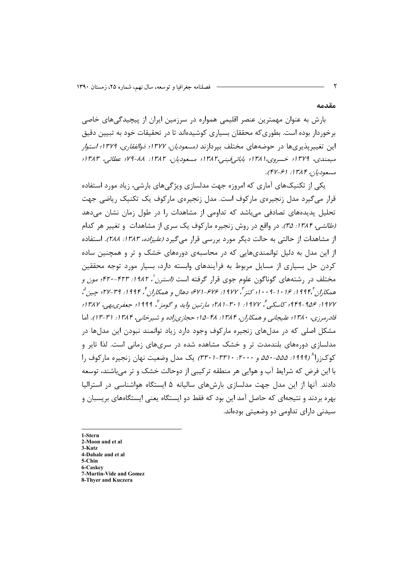#### مقدمه

بارش به عنوان مهمترین عنصر اقلیمی همواره در سرزمین ایران از پیچیدگی های خاصی برخوردار بوده است. بطوری که محققان بسیاری کوشیدهاند تا در تحقیقات خود به تبیین دقیق این تغییرپذیریها در حوضههای مختلف بپردازند *(مسعودیان، ۱۳۷۷؛ دوالفقاری، ۱۳۷۹؛ استوار* ميمندي، ١٣٧٩؛ خسروي،١٣٨١؛ بابائي فينبي،١٣٨٢؛ مسعوديان، ١٣٨٢: ٨٨-٧٩؛ عطائي، ١٣٨٣؛ مسعوديان ا۳۸۴: (۴۷-۴۷).

یکی از تکنیکهای آماری که امروزه جهت مدلسازی ویژگیهای بارشی، زیاد مورد استفاده قرار میگیرد مدل زنجیرهی مارکوف است. مدل زنجیرهی مارکوف یک تکنیک ریاضی جهت تحلیل پدیدههای تصادفی می باشد که تداومی از مشاهدات را در طول زمان نشان می دهد (*طالشي، ١٣٨٤: ٣۵)*. در واقع در روش زنجيره ماركوف يك سرى از مشاهدات و تغيير هر كدام از مشاهدات از حالتی به حالت دیگر مورد بررسی قرار می گیرد *(علیزاده، ۱۳۸۳: ۲۸۸*). استفاده از این مدل به دلیل توانمندی،هایی که در محاسبهی دورههای خشک و تر و همچنین ساده کردن حل بسیاری از مسایل مربوط به فرآیندهای وابسته دارد، بسیار مورد توجه محققین مختلف در رشتههای گوناگون علوم جوی قرار گرفته است *(استرن<sup>'</sup>، ۱۹۸۲: ۴۲۳-۴۲۰؛ مون و* همکاران '،۱۹۹۴ نه ۱۶ ۰ ۱ - ۱۰ ۰ ۰ کتر"، ۱۹۷۷ نه ۶۷۶–۷۱۶ دهال و همکاران گی ۱۹۹۴ نه ۲۴–۲۷؛ چین مُ، ۱۹۷۷: ۱۹۵۶-۹۴۹؛ کاسکبی تُم ۱۹۷۷: ۳۰۱-۳۸۱؛ مارتین واید و گومز"، ۱۹۹۹؛ جعفری بھی، ۱۳۸۷؛ قادرمرزي، ۱۳۸۰؛ علیجانبي و همکاران، ۱۳۸۴: ۴۸-۱۵؛ حجازي;اده و شیرخانبي، ۱۳۸۴: ۳۱-۱۳). اما مشکل اصلی که در مدلهای زنجیره مارکوف وجود دارد زیاد توانمند نبودن این مدلها در مدلسازی دورههای بلندمدت تر و خشک مشاهده شده در سریهای زمانی است. لذا تایر و کوک;,ا<sup>۸</sup> (۱۹۹۹*: ۵۵۵-۵۵۰ و ۲۰۰۰: ۳۳۰-(۳۳۰)* یک مدل وضعیت نهان زنجیره مارکوف را با این فرض که شرایط آب و هوایی هر منطقه ترکیبی از دوحالت خشک و تر می باشند، توسعه دادند. آنها از این مدل جهت مدلسازی بارشهای سالیانه ۵ ایستگاه هواشناسی در استرالیا بهره بردند و نتیجهای که حاصل آمد این بود که فقط دو ایستگاه یعنی ایستگاههای بریسبان و سیدنی دارای تداومی دو وضعیتی بودهاند.

1-Stern 2-Moon and et al  $3-Katz$ 4-Dahale and et al 5-Chin 6-Caskev 7-Martin-Vide and Gomez 8-Thyer and Kuczera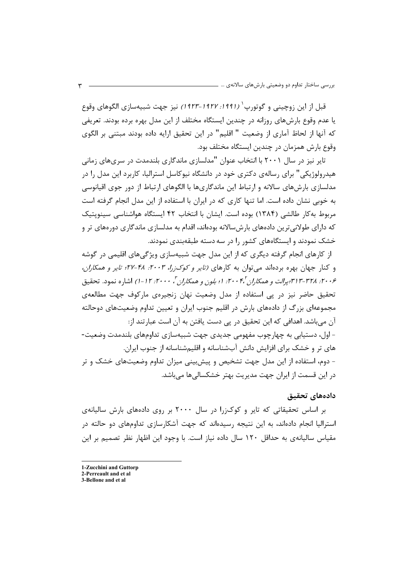قبل از اين زوچيني و گوتورپ<sup>' (</sup> 191*1: ۱۹۲۷–۱۹۲۳)* نيز جهت شبيهسازي الگوهاي وقوع یا عدم وقوع بارشهای روزانه در چندین ایستگاه مختلف از این مدل بهره برده بودند. تعریفی كه آنها از لحاظ آماري از وضعيت " اقليم" در اين تحقيق ارايه داده بودند مبتني بر الگوي وقوع بارش همزمان در چندین ایستگاه مختلف بود.

تایر نیز در سال ۲۰۰۱ با انتخاب عنوان "مدلسازی ماندگاری بلندمدت در سریهای زمانی هیدرولوژیکی" برای رسالهی دکتری خود در دانشگاه نیوکاسل استرالیا، کاربرد این مدل را در مدلسازی بارش&ای سالانه و ارتباط این ماندگاریها با الگوهای ارتباط از دور جوی اقیانوسی به خوبی نشان داده است. اما تنها کاری که در ایران با استفاده از این مدل انجام گرفته است مربوط به کار طالشی (۱۳۸۴) بوده است. ایشان با انتخاب ۴۲ ایستگاه هواشناسی سینویتیک که دارای طولانی ترین دادههای بارش،سالانه بودهاند، اقدام به مدلسازی ماندگاری دورههای تر و خشک نمودند و ایستگاههای کشور را در سه دسته طبقهبندی نمودند.

از کارهای انجام گرفته دیگری که از این مدل جهت شبیهسازی ویژگیهای اقلیمی در گوشه و کنار جهان بهره بردهاند می توان به کارهای *(تایر و کوک;را، ۲۰۰۳: ۴۸-۲۷؛ تایر و همکاران*، ۲۰*۰۶: ۳۲۸-۱۳-۱۳) یرالت و همکاران ۲۰۰۴: ۱۰ بلون و همکاران ۳۰۰۰: ۲۰۰۲* ا-۱/ اشاره نمود. تحقیق تحقیق حاضر نیز در پی استفاده از مدل وضعیت نهان زنجیرهی مارکوف جهت مطالعهی مجموعهای بزرگ از دادههای بارش در اقلیم جنوب ایران و تعیین تداوم وضعیتهای دوحالته آن مے،باشد. اهدافی که این تحقیق در پی دست یافتن به آن است عبارتند از: – اول، دستیابی به چهارچوب مفهومی جدیدی جهت شبیهسازی تداومهای بلندمدت وضعیت-های تر و خشک برای افزایش دانش آبشناسانه و اقلیمشناسانه از جنوب ایران. - دوم، استفاده از این مدل جهت تشخیص و پیشبینی میزان تداوم وضعیتهای خشک و تر در این قسمت از ایران جهت مدیریت بهتر خشکسالیها میباشد.

## دادەھاي تحقىق

بر اساس تحقیقاتی که تایر و کوکزرا در سال ۲۰۰۰ بر روی دادههای بارش سالیانهی استرالیا انجام دادهاند، به این نتیجه رسیدهاند که جهت آشکارسازی تداومهای دو حالته در مقیاس سالیانهی به حداقل ۱۲۰ سال داده نیاز است. با وجود این اظهار نظر تصمیم بر این

1-Zucchini and Guttorp

<sup>2.</sup> Perreault and et al

<sup>3-</sup>Bellone and et al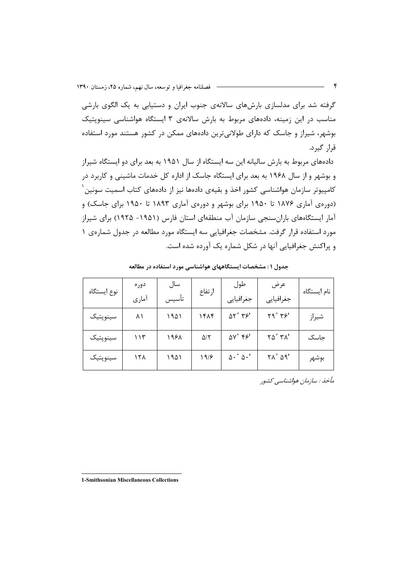گرفته شد برای مدلسازی بارشهای سالانهی جنوب ایران و دستیابی به یک الگوی بارشی مناسب در این زمینه، دادههای مربوط به بارش سالانهی ۳ ایستگاه هواشناسی سینویتیک بوشهر، شیراز و جاسک که دارای طولانیترین دادههای ممکن در کشور هستند مورد استفاده قرار گیرد.

دادههای مربوط به بارش سالیانه این سه ایستگاه از سال ۱۹۵۱ به بعد برای دو ایستگاه شیراز و بوشهر و از سال ۱۹۶۸ به بعد برای ایستگاه جاسک از اداره کل خدمات ماشینی و کاربرد در کامپیوتر سازمان هواشناسی کشور اخذ و بقیهی دادهها نیز از دادههای کتاب اسمیت سونین <sup>۱</sup> (دورهی آماری ۱۸۷۶ تا ۱۹۵۰ برای بوشهر و دورهی آماری ۱۸۹۳ تا ۱۹۵۰ برای جاسک) و آمار ایستگاههای بارانسنجی سازمان آب منطقهای استان فارس (۱۹۵۱– ۱۹۲۵) برای شیراز مورد استفاده قرار گرفت. مشخصات جغرافیایی سه ایستگاه مورد مطالعه در جدول شمارهی ۱ و پراکنش جغرافیایی آنها در شکل شماره یک آورده شده است.

| نوع ايستگاه | دوره<br>آماری | سال<br>تأسيس | ارتفاع            | طول<br>جغرافيايي                        | عرض<br>جغرافيايي                          | نام ایستگاه |
|-------------|---------------|--------------|-------------------|-----------------------------------------|-------------------------------------------|-------------|
| سينوپتيک    | ۸۱            | ۱۹۵۱         | ۱۴۸۴              | $\Delta \Upsilon$ ° $\Upsilon$ ۶'       | ۲۹° ۳۶'                                   | شيراز       |
| سينوپتيک    | ۱۱۳           | ۱۹۶۸         | $\Delta/\Upsilon$ | $\Delta V^{\circ}$ $\uparrow \uparrow'$ | $\gamma \Delta^{\circ}$ $\gamma \Lambda'$ | جاسک        |
| سينوپتيک    | ۱۲۸           | ۱۹۵۱         | ۱۹۱۶              | $\Delta \cdot \degree \Delta \cdot '$   | $\gamma \wedge^{\circ} \wedge \gamma'$    | بوشهر       |

جدول ۱: مشخصات ایستگاههای هواشناسی مورد استفاده در مطالعه

مأخذ : سازمان هواشناسبي كشور

1-Smithsonian Miscellaneous Collections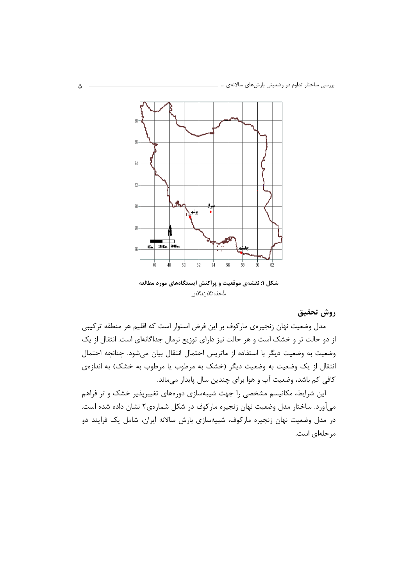

مأخذ: نگارندگان

روش تحقيق

مدل وضعیت نهان زنجیرهی مارکوف بر این فرض استوار است که اقلیم هر منطقه ترکیبی از دو حالت تر و خشک است و هر حالت نیز دارای توزیع نرمال جداگانهای است. انتقال از یک وضعيت به وضعيت ديگر با استفاده از ماتريس احتمال انتقال بيان مي شود. چنانچه احتمال انتقال از یک وضعیت به وضعیت دیگر (خشک به مرطوب یا مرطوب به خشک) به اندازهی كافي كم باشد، وضعيت آب و هوا براي چندين سال پايدار ميماند.

این شرایط، مکانیسم مشخصی را جهت شیبهسازی دورههای تغییرپذیر خشک و تر فراهم میآورد. ساختار مدل وضعیت نهان زنجیره مارکوف در شکل شمارهی۲ نشان داده شده است. در مدل وضعیت نهان زنجیره مارکوف، شبیهسازی بارش سالانه ایران، شامل یک فرایند دو مر حلهای است.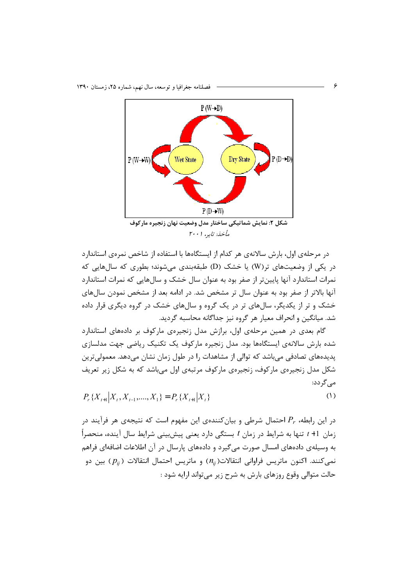

مأخذ: تايد، ۲۰۰۱

در مرحلهی اول، بارش سالانهی هر کدام از ایستگاهها با استفاده از شاخص نمرهی استاندارد در یکی از وضعیتهای تر(W) یا خشک (D) طبقهبندی می شوند؛ بطوری که سال هایی که نمرات استاندارد آنها پایینتر از صفر بود به عنوان سال خشک و سالهایی که نمرات استاندارد آنها بالاتر از صفر بود به عنوان سال تر مشخص شد. در ادامه بعد از مشخص نمودن سالهای خشک و تر از یکدیگر، سالهای تر در یک گروه و سالهای خشک در گروه دیگری قرار داده شد. میانگین و انحراف معیار هر گروه نیز جداگانه محاسبه گردید.

گام بعدی در همین مرحلهی اول، برازش مدل زنجیرهی مارکوف بر دادههای استاندارد شده بارش سالانهی ایستگاهها بود. مدل زنجیره مارکوف یک تکنیک ریاضی جهت مدلسازی یدیدههای تصادفی می باشد که توالی از مشاهدات را در طول زمان نشان می دهد. معمولی ترین شکل مدل زنجیرهی مارکوف، زنجیرهی مارکوف مرتبهی اول می باشد که به شکل زیر تعریف مے گردد:

 $P_{r} \{X_{t+1} | X_{t}, X_{t-1}, \ldots, X_{1}\} = P_{r} \{X_{t+1} | X_{t}\}$  $(1)$ 

در این رابطه،  $P_r$  احتمال شرطی و بیانکنندهی این مفهوم است که نتیجهی هر فرآیند در زمان 1+ t تنها به شرایط در زمان t بستگی دارد یعنی پیشبینی شرایط سال آینده، منحصراً به وسیلهی دادههای امسال صورت می گیرد و دادههای پارسال در آن اطلاعات اضافهای فراهم نمی کنند. اکنون ماتریس فراوانی انتقالات $(n_{ii})$  و ماتریس احتمال انتقالات ( $p_{ii}$ ) بین دو حالت متوالي وقوع روزهاي بارش به شرح زير مي تواند ارايه شود :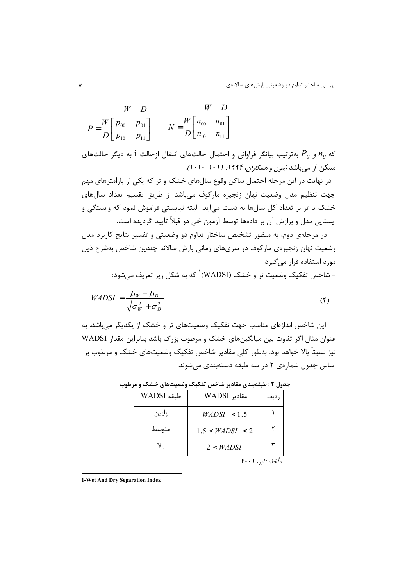$$
W \t D \t W D
$$
  

$$
P = \begin{bmatrix} W & D & W & D \\ D_{00} & P_{01} & W & D \\ D_{10} & P_{11} & W & D \end{bmatrix}
$$

که  $n_{ij}$  و  $P_{ij}$  بهترتیب بیانگر فراوانی و احتمال حالتهای انتقال ازحالت 1 به دیگر حالتهای ممکن *j می* باشد *(مون و همکا<sub>ز</sub>ان، ۱۹۹۴: ۱۰۱۰–۱۰۱۰)*.

در نهایت در این مرحله احتمال ساکن وقوع سالهای خشک و تر که یکی از پارامترهای مهم جهت تنظیم مدل وضعیت نهان زنجیره مارکوف میباشد از طریق تقسیم تعداد سال های خشک یا تر بر تعداد کل سالها به دست میآید. البته نبایستی فراموش نمود که وابستگی و ایستایی مدل و برازش آن بر دادهها توسط آزمون خی دو قبلاً تأیید گردیده است.

در مرحلهی دوم، به منظور تشخیص ساختار تداوم دو وضعیتی و تفسیر نتایج کاربرد مدل وضعیت نهان زنجیرهی مارکوف در سریهای زمانی بارش سالانه چندین شاخص بهشرح ذیل مورد استفاده قرار مے گیرد:

- شاخص تفکیک وضعیت تر و خشک (WADSI) که به شکل زیر تعریف مے شود:

$$
WADSI = \frac{L_W - L_D}{\sqrt{\sigma_W^2 + \sigma_D^2}}
$$
 (7)

این شاخص اندازهای مناسب جهت تفکیک وضعیتهای تر و خشک از یکدیگر می باشد. به عنوان مثال اگر تفاوت بین میانگینهای خشک و مرطوب بزرگ باشد بنابراین مقدار WADSI نیز نسبتاً بالا خواهد بود. بهطور کلی مقادیر شاخص تفکیک وضعیتهای خشک و مرطوب بر اساس جدول شمارهی ۲ در سه طبقه دستهبندی مے شوند.

| طبقه WADSI | مقادیر WADSI           | ، ديف |
|------------|------------------------|-------|
| پايين      | WADSI < 1.5            |       |
| متوسط      | 1.5 < <i>WADSI</i> < 2 |       |
| YL         | 2 < WADSI              |       |
|            |                        |       |

جدول ۲ : طبقهبندی مقادیر شاخص تفکیک وضعیتهای خشک و مرطوب

مأخذ: تاير، ۲۰۰۱

1-Wet And Dry Separation Index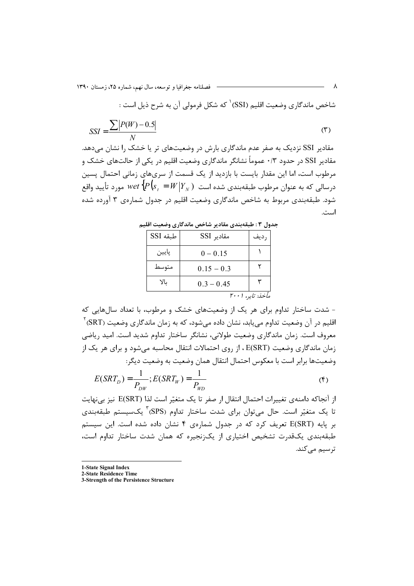- فصلنامه جغرافیا و توسعه، سال نهم، شماره ۲۵، زمستان ۱۳۹۰

شاخص ماندگاري وضعيت اقليم (SSI) <sup>۱</sup> که شکل فرمولي آن به شرح ذيل است :

$$
SSI = \frac{\sum |P(W) - 0.5|}{N} \tag{5}
$$

مقادیر SSI نزدیک به صفر عدم ماندگاری بارش در وضعیتهای تر یا خشک را نشان می دهد. مقادیر SSI در حدود ۰/۳ عموماً نشانگر ماندگاری وضعیت اقلیم در یکی از حالتهای خشک و مرطوب است، اما این مقدار بایست با بازدید از یک قسمت از سریهای زمانی احتمال پسین شود. طبقهبندی مربوط به شاخص ماندگاری وضعیت اقلیم در جدول شمارهی ۳ آورده شده است.

| ----     |              |                  |  |  |  |  |
|----------|--------------|------------------|--|--|--|--|
| طبقه SSI | مقادیر SSI   | رديف             |  |  |  |  |
| پايين    | $0 - 0.15$   |                  |  |  |  |  |
| متوسط    | $0.15 - 0.3$ |                  |  |  |  |  |
| YL       | $0.3 - 0.45$ |                  |  |  |  |  |
|          |              | مأخذ: تاير، ۲۰۰۱ |  |  |  |  |

جدول ٣ : طبقهبندي مقادير شاخص ماندگاري وضعيت اقليم

- شدت ساختار تداوم برای هر یک از وضعیتهای خشک و مرطوب، با تعداد سالهایی که اقلیم در آن وضعیت تداوم می.یابد، نشان داده می.شود، که به زمان ماندگاری وضعیت (SRT)<sup>۲</sup> معروف است. زمان ماندگاری وضعیت طولانی، نشانگر ساختار تداوم شدید است. امید ریاضی زمان ماندگاری وضعیت (E(SRT ، از روی احتمالات انتقال محاسبه می شود و برای هر یک از وضعيتها برابر است با معكوس احتمال انتقال همان وضعيت به وضعيت ديگر:

$$
E(SRT_D) = \frac{1}{P_{DW}}; E(SRT_W) = \frac{1}{P_{WD}}
$$
 (5)

از آنجاكه دامنهي تغييرات احتمال انتقال ار صفر تا يک متغيّر است لذا (E(SRT نيز بي نهايت تا یک متغیّر است. حال می توان برای شدت ساختار تداوم (SPS) ؓ یکسیستم طبقهبندی بر پایه (E(SRT تعریف کرد که در جدول شمارهی ۴ نشان داده شده است. این سیستم طبقهبندی یکقدرت تشخیص اختیاری از یکزنجیره که همان شدت ساختار تداوم است، ترسیم میکند.

1-State Signal Index

2-State Residence Time

3-Strength of the Persistence Structure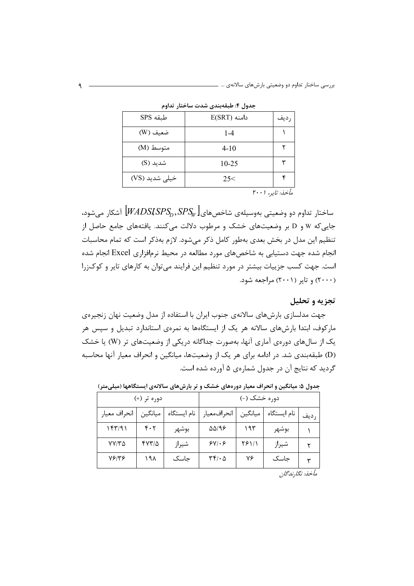| .              | .                |      |
|----------------|------------------|------|
| طبقه SPS       | $E(SRT)$ دامنه   | رديف |
| ضعيف (W)       | $1 - 4$          |      |
| متوسط (M)      | $4 - 10$         |      |
| شدید (S)       | 10-25            | ٣    |
| خیلی شدید (VS) | 25<              | ۴    |
|                | مأخذ: تاير، ۲۰۰۱ |      |

حدول ۴: طبقهبندي شدت ساختار تداوم

ساختار تداوم دو وضعیتی بهوسیلهی شاخصهای $\left[\emph{WADSISPS}_{D},SPS_{W}\right]$  آشکار می شود، جایی که W و D بر وضعیتهای خشک و مرطوب دلالت می کنند. یافتههای جامع حاصل از تنظیم این مدل در بخش بعدی بهطور کامل ذکر می شود. لازم بهذکر است که تمام محاسبات انجام شده جهت دستیابی به شاخصهای مورد مطالعه در محیط نرمافزاری Excel انجام شده است. جهت کسب جزییات بیشتر در مورد تنظیم این فرایند می توان به کارهای تایر و کوک;را (۲۰۰۰) و تایر (۲۰۰۱) مراجعه شود.

تجزيه و تحليل

جهت مدلسازی بارشهای سالانهی جنوب ایران با استفاده از مدل وضعیت نهان زنجیرهی مارکوف، ابتدا بارشهای سالانه هر یک از ایستگاهها به نمرهی استاندارد تبدیل و سپس هر یک از سال های دورهی آماری آنها، بهصورت جداگانه دریکی از وضعیتهای تر (W) یا خشک (D) طبقهبندی شد. در ادامه برای هر یک از وضعیتها، میانگین و انحراف معیار آنها محاسبه گردید که نتایج آن در جدول شمارهی ۵ آورده شده است.

|              | دوره تر (+) |             |                                                 | دوره خشک (-) |             |                |  |  |
|--------------|-------------|-------------|-------------------------------------------------|--------------|-------------|----------------|--|--|
| انحراف معيار | ميانگين     | نام ایستگاه | انحرافمعيار                                     | ميانگين      | نام ایستگاه | رديف           |  |  |
| ۱۴۳/۹۱       | ۴۰۲         | بوشهر       | 58/96                                           | ۱۹۳          | بوشهر       |                |  |  |
| $VV/T\Delta$ | 47315       | شيراز       | $5Y/\cdot 5$                                    | 28111        | شيراز       |                |  |  |
| 78148        | ۱۹۸         | حاسک        | $\mathsf{r}\mathsf{r}\mathsf{r}\cdot\mathsf{a}$ | ٧۶           | حاسک        | $\checkmark$   |  |  |
|              |             |             |                                                 |              |             | باخوز بطح زاحي |  |  |

جدول ۵: میانگین و انحراف معیار دورههای خشک و تر بارشهای سالانهی ایستگاهها (میلیمتر)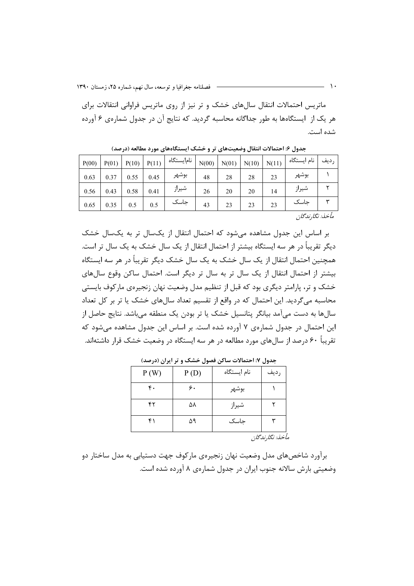ماتریس احتمالات انتقال سالهای خشک و تر نیز از روی ماتریس فراوانی انتقالات برای هر یک از ایستگاهها به طور جداگانه محاسبه گردید. که نتایج آن در جدول شمارهی ۶ آورده شده است.

| P(00) | P(01) | P(10) | P(11) | نام یستگاه | N(00) | N(01) | N(10) | N(11) | نام ایستگاه | , ديف |
|-------|-------|-------|-------|------------|-------|-------|-------|-------|-------------|-------|
| 0.63  | 0.37  | 0.55  | 0.45  | بوشهر      | 48    | 28    | 28    | 23    | بوشهر       |       |
| 0.56  | 0.43  | 0.58  | 0.41  | شيراز      | 26    | 20    | 20    | 14    | شيراز       |       |
| 0.65  | 0.35  | 0.5   | 0.5   | جاسک       | 43    | 23    | 23    | 23    | حاسک        |       |

جدول ۶: احتمالات انتقال وضعیتهای تر و خشک ایستگاههای مورد مطالعه (درصد)

مأخذ: نگا,ندگان

بر اساس این جدول مشاهده می شود که احتمال انتقال از یکسال تر به یکسال خشک دیگر تقریباً در هر سه ایستگاه بیشتر از احتمال انتقال از یک سال خشک به یک سال تر است. همچنین احتمال انتقال از یک سال خشک به یک سال خشک دیگر تقریباً در هر سه ایستگاه بیشتر از احتمال انتقال از یک سال تر به سال تر دیگر است. احتمال ساکن وقوع سالهای خشک و تر، پارامتر دیگری بود که قبل از تنظیم مدل وضعیت نهان زنجیرهی مارکوف بایستی محاسبه می گردید. این احتمال که در واقع از تقسیم تعداد سال های خشک یا تر بر کل تعداد سالها به دست می آمد بیانگر پتانسیل خشک یا تر بودن یک منطقه می باشد. نتایج حاصل از این احتمال در جدول شمارهی ۷ آورده شده است. بر اساس این جدول مشاهده می شود که تقریباً ۶۰ درصد از سالهای مورد مطالعه در هر سه ایستگاه در وضعیت خشک قرار داشتهاند.

|      | - -  |             | - -                                                                            |
|------|------|-------------|--------------------------------------------------------------------------------|
| P(W) | P(D) | نام ايستگاه | رديف                                                                           |
| ۴.   | ۶.   | بوشهر       |                                                                                |
| ۴۲   | ۵۸   | شيراز       |                                                                                |
| ۴١   | ۵۹   | جاسک        | ٣                                                                              |
|      |      |             | $\mathbf{1} \mathcal{I}$ . $\mathbf{1} \mathcal{I}$ . $\mathbf{1} \mathcal{I}$ |

جدول ۷: احتمالات ساکن فصول خشک و تر ایران (درصد)

مأخذ: نگارندگان

برآورد شاخصهای مدل وضعیت نهان زنجیرهی مارکوف جهت دستیابی به مدل ساختار دو وضعیتی بارش سالانه جنوب ایران در جدول شمارهی ۸ آورده شده است.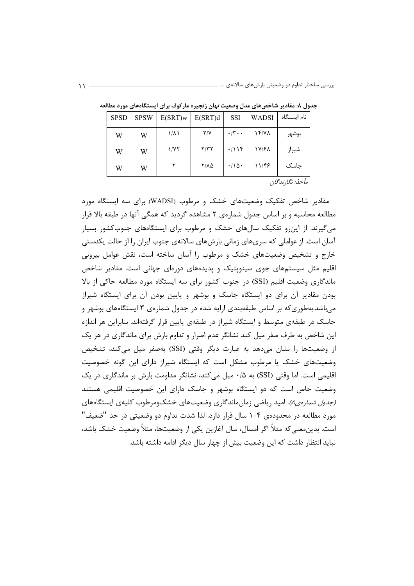| <b>SPSD</b>       | <b>SPSW</b> | $E(SRT)$ w | E(SRT)d | <b>SSI</b>                 | <b>WADSI</b> | نام ایستگاه |
|-------------------|-------------|------------|---------|----------------------------|--------------|-------------|
| W                 | W           | ۱/۸۱       | Y/Y     | $\cdot$ /۳ $\cdot$ $\cdot$ | 14/Y         | بوشهر       |
| W                 | W           | 1/7٢       | Y/YY    | .7119                      | 17/61        | شيراز       |
| W                 | W           |            | ۲/۸۵    | $\cdot/\Delta$ .           | 11/46        | حاسک        |
| مأخذن نكارزا مجان |             |            |         |                            |              |             |

جدول ۸: مقادیر شاخصهای مدل وضعیت نهان زنجیره مارکوف برای ایستگاههای مورد مطالعه

مقادیر شاخص تفکیک وضعیتهای خشک و مرطوب (WADSI) برای سه ایستگاه مورد مطالعه محاسبه و بر اساس جدول شمارهی ۲ مشاهده گردید که همگی آنها در طبقه بالا قرار می گیرند. از این رو تفکیک سالهای خشک و مرطوب برای ایستگاههای جنوبکشور بسیار آسان است. از عواملی که سریهای زمانی بارشهای سالانهی جنوب ایران را از حالت یکدستی خارج و تشخیص وضعیتهای خشک و مرطوب را آسان ساخته است، نقش عوامل بیرونی اقلیم مثل سیستمهای جوی سینوپتیک و پدیدههای دورهای جهانی است. مقادیر شاخص ماندگاری وضعیت اقلیم (SSI) در جنوب کشور برای سه ایستگاه مورد مطالعه حاکی از بالا بودن مقادیر آن برای دو ایستگاه جاسک و بوشهر و پایین بودن آن برای ایستگاه شیراز میباشد.بهطوری که بر اساس طبقهبندی ارایه شده در جدول شمارهی ۳ ایستگاههای بوشهر و جاسک در طبقهی متوسط و ایستگاه شیراز در طبقهی پایین قرار گرفتهاند. بنابراین هر اندازه این شاخص به طرف صفر میل کند نشانگر عدم اصرار و تداوم بارش برای ماندگاری در هر یک از وضعیتها را نشان میدهد به عبارت دیگر وقتی (SSI) بهصفر میل میکند، تشخیص وضعیتهای خشک یا مرطوب مشکل است که ایستگاه شیراز دارای این گونه خصوصیت اقلیمی است. اما وقتی (SSI) به ۰/۵ میل میکند، نشانگر مداومت بارش بر ماندگاری در یک وضعیت خاص است که دو ایستگاه بوشهر و جاسک دارای این خصوصیت اقلیمی هستند *(جدول شمارهی)).* امید ریاضی زمان ماندگاری وضعیتهای خشک ومرطوب کلیهی ایستگاههای مورد مطالعه در محدودهی ۴-۱ سال قرار دارد. لذا شدت تداوم دو وضعیتی در حد "ضعیف" است. بدینِمعنی که مثلاً اگر امسال، سال آغازین یکی از وضعیتها، مثلاً وضعیت خشک باشد، نباید انتظار داشت که این وضعیت بیش از چهار سال دیگر ادامه داشته باشد.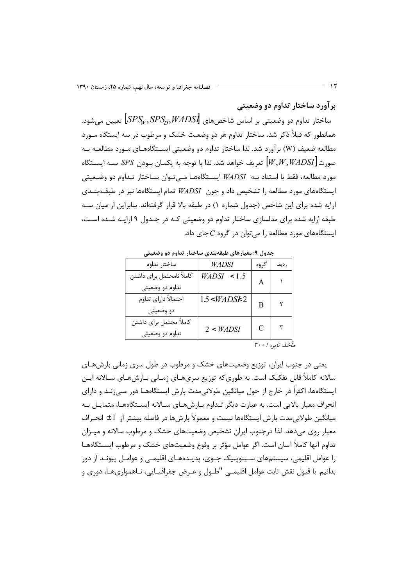بر آورد ساختار تداوم دو وضعیتی

ساختار تداوم دو وضعیتی بر اساس شاخصهای  $\textit{SPS}_D, \textit{WADS}$  تعیین میشود. همانطور که قبلاً ذکر شد، ساختار تداوم هر دو وضعیت خشک و مرطوب در سه ایستگاه مـورد مطالعه ضعیف (W) برآورد شد. لذا ساختار تداوم دو وضعیتی ایســتگاههـای مـورد مطالعــه بــه  $\sim |W, W, WADSI|$ تعريف خواهد شد. لذا با توجه به يكسان بــودن SPS ســه ايســتگاه مورد مطالعه، فقط با استناد بــه *WADSI* ايســتگاههــا مــىتــوان ســاختار تــداوم دو وضـعيتى ایستگاههای مورد مطالعه را تشخیص داد و چون *WADSI* تمام ایستگاهها نیز در طبقــهبنــدی ارایه شده برای این شاخص (جدول شماره ۱) در طبقه بالا قرار گرفتهاند. بنابراین از میان سـه طبقه ارایه شده برای مدلسازی ساختار تداوم دو وضعیتی کـه در جـدول ۹ ارایـه شـده اسـت، ایستگاههای مورد مطالعه را میتوان در گروه C جای داد.

| بعدون ، معیورسی کیف بعدی سے حدر معاوم دو و معیشی |              |               |                                |  |  |  |  |
|--------------------------------------------------|--------------|---------------|--------------------------------|--|--|--|--|
| ساختار تداوم                                     | WADSI        | گروه          | , ديف                          |  |  |  |  |
| كاملأ نامحتمل براي داشتن<br>تداوم دو وضعيتي      | WADSI < 1.5  | A             |                                |  |  |  |  |
| احتمالاً داراي تداوم<br>دو وضعيتي                | 1.5 < WADS 2 | В             |                                |  |  |  |  |
| كاملأ محتمل براي داشتن<br>تداوم دو وضعيتي        | 2 < WADSI    | C             |                                |  |  |  |  |
|                                                  |              | <b>M.</b> . 1 | $\left\{ \frac{1}{2} \right\}$ |  |  |  |  |

حدول ۹: معيارهاي طبقهبندي ساختار تداوم دو وضعيته

مأخذ: تاير، ۲۰۰۱

یعنی در جنوب ایران، توزیع وضعیتهای خشک و مرطوب در طول سری زمانی بارشهـای سالانه کاملاً قابل تفکیک است. به طوریکه توزیع سریهـای زمـانی بـارشهـای سـالانه ایـن ایستگاهها، اکثراً در خارج از حول میانگین طولانیمدت بارش ایستگاههـا دور مـیزنــد و دارای انحراف معیار بالایی است. به عبارت دیگر تـداوم بـارشهـای سـالانه ایســتگاههـا، متمایـل بـه میانگین طولانیمدت بارش ایستگاهها نیست و معمولاً بارشها در فاصله بیشتر از 1± انحـراف معیار روی میدهد. لذا درجنوب ایران تشخیص وضعیتهای خشک و مرطوب سالانه و میــزان تداوم آنها كاملأ آسان است. اگر عوامل مؤثر بر وقوع وضعيتهاى خشک و مرطوب ايســتگاههـا را عوامل اقلیمی، سیستمهای سـینوپتیک جــوی، پدیــدههــای اقلیمــی و عوامــل پیونــد از دور بدانیم. با قبول نقش ثابت عوامل اقلیمـی "طــول و عــرض جغرافیــایی، نــاهمواریهــا، دوری و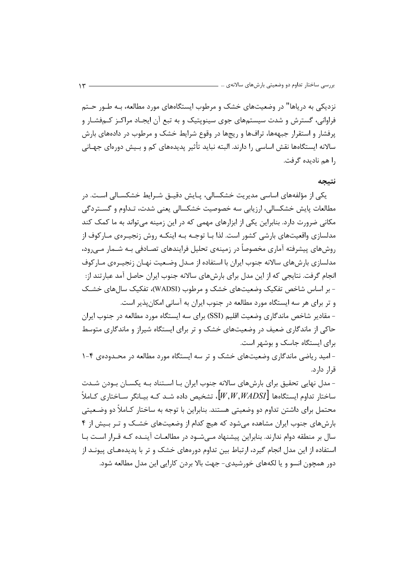نزدیکی به دریاها" در وضعیتهای خشک و مرطوب ایستگاههای مورد مطالعه، بـه طـور حـتم فراوانی، گسترش و شدت سیستمهای جوی سینوپتیک و به تبع آن ایجـاد مراکـز کـمفشـار و پرفشار و استقرار جبههها، ترافها و ریجها در وقوع شرایط خشک و مرطوب در دادههای بارش سالانه ایستگاهها نقش اساسی را دارند. البته نباید تأثیر پدیدههای کم و بـیش دورهای جهـانی ,ا هم ناديده گرفت.

### نتىحە

یکی از مؤلفههای اساسی مدیریت خشکسالی، پـایش دقیـق شـرایط خشکسـالی اسـت. در مطالعات پایش خشکسالی، ارزیابی سه خصوصیت خشکسالی یعنی شدت، تـداوم و گسـتردگی مکانی ضرورت دارد. بنابراین یکی از ابزارهای مهمی که در این زمینه می تواند به ما کمک کند مدلسازی واقعیتهای بارشی کشور است. لذا بـا توجـه بـه اینکـه روش زنجیـرهی مـارکوف از روش های پیشرفته آماری مخصوصاً در زمینهی تحلیل فرایندهای تصـادفی بـه شــمار مــ<sub>ی(</sub>ود، مدلسازی بارشهای سالانه جنوب ایران با استفاده از مـدل وضـعیت نهـان زنجیـرهی مـارکوف انجام گرفت. نتایجی که از این مدل برای بارشهای سالانه جنوب ایران حاصل آمد عبارتند از: - بر اساس شاخص تفکیک وضعیتهای خشک و مرطوب (WADSI)، تفکیک سال های خشـک و تر برای هر سه ایستگاه مورد مطالعه در جنوب ایران به آسانی امکان بذیر است. - مقادیر شاخص ماندگاری وضعیت اقلیم (SSI) برای سه ایستگاه مورد مطالعه در جنوب ایران

حاکی از ماندگاری ضعیف در وضعیتهای خشک و تر برای ایستگاه شیراز و ماندگاری متوسط برای ایستگاه جاسک و بوشهر است.

- امید ریاضی ماندگاری وضعیتهای خشک و تر سه ایستگاه مورد مطالعه در محـدودهی ۴-۱ قرا, دا,د.

- مدل نهایی تحقیق برای بارشهای سالانه جنوب ایران بـا اسـتناد بـه یکسـان بـودن شـدت ساختار تداوم ایستگاهها  $[W,W, WADSI]$ ، تشخیص داده شــد کــه بیــانگر ســاختاری کــاملاً محتمل برای داشتن تداوم دو وضعیتی هستند. بنابراین با توجه به ساختار کـاملاً دو وضـعیتی بارش های جنوب ایران مشاهده می شود که هیچ کدام از وضعیتهای خشــک و تـر بــیش از ۴ سال بر منطقه دوام ندارند. بنابراین پیشنهاد مــی شــود در مطالعــات آینــده کــه قــرار اســت بــا استفاده از این مدل انجام گیرد، ارتباط بین تداوم دورههای خشک و تر با پدیدههـای پیونـد از دور همچون انسو و یا لکههای خورشیدی- جهت بالا بردن کارایی این مدل مطالعه شود.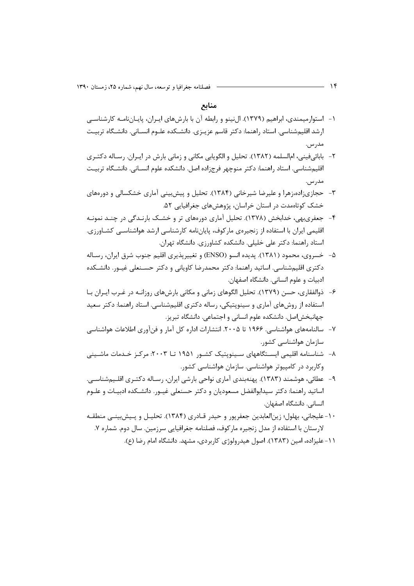منابع

- ۱– استوارمیمندی، ابراهیم (۱۳۷۹). الiینو و رابطه آن با بارشهای ایـران، پایـاننامـه کارشناسـی ارشد اقلیمشناسی. استاد راهنما: دکتر قاسم عزیـزی. دانشـکده علـوم انسـانی. دانشـگاه تربیـت مدر س.
- ۲- بابائيفيني، ام|لسلمه (١٣٨٢). تحليل و الگويابي مكاني و زماني بارش در ايـران. رسـاله دكتـرى اقلیمشناسی. استاد راهنما: دکتر منوچهر فرجزاده اصل. دانشکده علوم انسـانی. دانشـگاه تربیـت مدر س
- ۳- حجازیزاده،زهرا و علیرضا شیرخانی (۱۳۸۴). تحلیل و پیشبینی آماری خشکسالی و دورههای خشک کوتاهمدت در استان خراسان، پژوهشهای جغرافیایی ۵۲.
- ۴-۔ جعفریبهی، خدابخش (۱۳۷۸). تحلیل آماری دورههای تر و خشـک بارنـدگی در چنـد نمونـه اقلیمی ایران با استفاده از زنجیرهی مارکوف، پایاننامه کارشناسی ارشد هواشناسـی کشــاورزی. استاد راهنما: دکتر علی خلیلی. دانشکده کشاورزی. دانشگاه تهران.
- ۵− خسروی، محمود (۱۳۸۱). پدیده انسو (ENSO) و تغییرپذیری اقلیم جنوب شرق ایران، رسـاله دکتری اقلیمشناسی. اساتید راهنما: دکتر محمدرضا کاویانی و دکتر حسـنعلی غیـور. دانشـکده ادبیات و علوم انسانی. دانشگاه اصفهان.
- ۶– ذوالفقارى، حسن (۱۳۷۹). تحليل الگوهاى زمانى و مكانى بارشهاى روزانــه در غـرب ايـران بــا استفاده از روشهای آماری و سینوپتیکی، رساله دکتری اقلیمشناسی. استاد راهنما: دکتر سعید جهانبخش|صل. دانشکده علوم انسانی و اجتماعی. دانشگاه تبریز.
- ۷- سالنامههای هواشناسی. ۱۹۶۶ تا ۲۰۰۵. انتشارات اداره کل آمار و فنآوری اطلاعات هواشناسی سازمان هواشناسی کشور.
- ۸- شناسنامه اقلیمی ایسـتگاههای سـینوپتیک کشـور ۱۹۵۱ تـا ۲۰۰۳: مرکـز خـدمات ماشـینی وکاربرد در کامپیوتر هواشناسی. سازمان هواشناسی کشور.
- ۹– عطائی، هوشمند (۱۳۸۳). پهنهبندی آماری نواحی بارشی ایران، رسـاله دکتـری اقلـیمشناسـی. اساتید راهنما: دکتر سیدابوالفضل مسعودیان و دکتر حسنعلی غیـور. دانشـکده ادبیـات و علـوم انسانی. دانشگاه اصفهان.
- ١٠- عليجاني، بهلول؛ زين|لعابدين جعفرپور و حيدر قــادري (١٣٨۴). تحليــل و پــيشبينــي منطقــه لارستان با استفاده از مدل زنجیره مارکوف، فصلنامه جغرافیایی سرزمین. سال دوم. شماره ۷.
	- ۱۱ علیزاده، امین (۱۳۸۳). اصول هیدرولوژی کاربردی، مشهد. دانشگاه امام رضا (ع).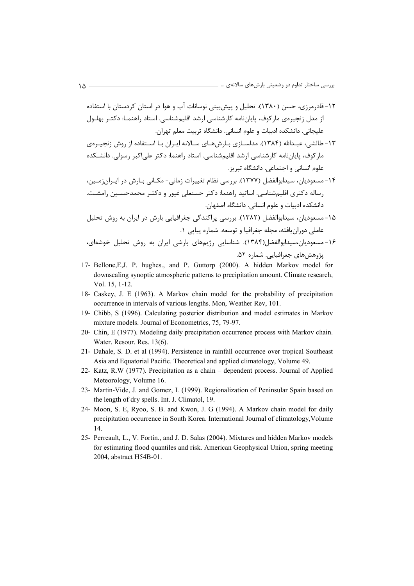- ۱۲– قادرمرزی، حسن (۱۳۸۰). تحلیل و پیش بینی نوسانات آب و هوا در استان کردستان با استفاده از مدل زنجیرەی مارکوف، پایاننامه کارشناسی ارشد اقلیمشناسی. استاد راهنمـا: دکتـر بهلـول علیجانی. دانشکده ادبیات و علوم انسانی. دانشگاه تربیت معلم تهران.
- ۱۳- طالشی، عبــدالله (۱۳۸۴). مدلســازی بـارشهــای ســالانه ایــران بــا اســتفاده از روش زنجیــرهی ماركوف، پاياننامه كارشناسي ارشد اقليمشناسي. استاد راهنما: دكتر علي|كبر رسولي. دانشـكده علوم انسانی و اجتماعی. دانشگاه تبریز.
- ۱۴- مسعودیان، سیدابوالفضل (۱۳۷۷). بررسی نظام تغییرات زمانی- مکـانی بـارش در ایـرانزمـین، رساله دکتری اقلیمشناسی. اساتید راهنما: دکتر حسنعلی غیور و دکتـر محمدحســین رامشــت. دانشکده ادبیات و علوم انسانی. دانشگاه اصفهان.
- ۱۵- مسعودیان، سیدابوالفضل (۱۳۸۲). بررسی پراکندگی جغرافیایی بارش در ایران به روش تحلیل عاملی دوران یافته، مجله جغرافیا و توسعه. شماره پیاپی ۱.
- ۱۶- مسعودیان،سیدابوالفضل(۱۳۸۴). شناسایی رژیمهای بارشی ایران به روش تحلیل خوشهای، پژوهشهای جغرافیایی. شماره ۵۲.
- 17- Bellone,E,J. P. hughes., and P. Guttorp (2000). A hidden Markov model for downscaling synoptic atmospheric patterns to precipitation amount. Climate research, Vol. 15, 1-12.
- 18- Caskey, J. E (1963). A Markov chain model for the probability of precipitation occurrence in intervals of various lengths. Mon, Weather Rev, 101.
- 19- Chibb, S (1996). Calculating posterior distribution and model estimates in Markov mixture models. Journal of Econometrics, 75, 79-97.
- 20- Chin, E (1977). Modeling daily precipitation occurrence process with Markov chain. Water. Resour. Res. 13(6).
- 21- Dahale, S. D. et al (1994). Persistence in rainfall occurrence over tropical Southeast Asia and Equatorial Pacific. Theoretical and applied climatology, Volume 49.
- 22- Katz, R.W (1977). Precipitation as a chain dependent process. Journal of Applied Meteorology, Volume 16.
- 23- Martin-Vide, J. and Gomez, L (1999). Regionalization of Peninsular Spain based on the length of dry spells. Int. J. Climatol, 19.
- 24- Moon, S. E, Ryoo, S. B. and Kwon, J. G (1994). A Markov chain model for daily precipitation occurrence in South Korea. International Journal of climatology,Volume 14.
- 25- Perreault, L., V. Fortin., and J. D. Salas (2004). Mixtures and hidden Markov models for estimating flood quantiles and risk. American Geophysical Union, spring meeting 2004, abstract H54B-01.